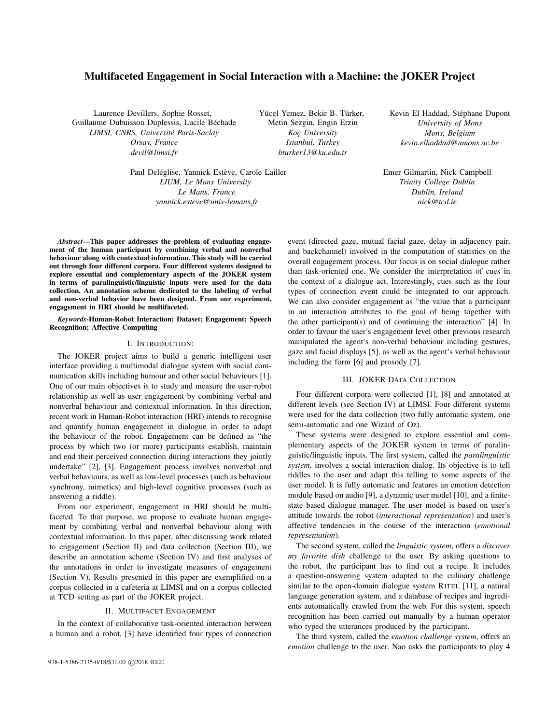# Multifaceted Engagement in Social Interaction with a Machine: the JOKER Project

Laurence Devillers, Sophie Rosset, Guillaume Dubuisson Duplessis, Lucile Béchade *LIMSI, CNRS, Universite Paris-Saclay ´ Orsay, France devil@limsi.fr*

Yücel Yemez, Bekir B. Türker, Metin Sezgin, Engin Erzin *Koc¸ University Istanbul, Turkey bturker13@ku.edu.tr*

Kevin El Haddad, Stéphane Dupont *University of Mons Mons, Belgium kevin.elhaddad@umons.ac.be*

Paul Deléglise, Yannick Estève, Carole Lailler *LIUM, Le Mans University Le Mans, France yannick.esteve@univ-lemans.fr*

Emer Gilmartin, Nick Campbell *Trinity College Dublin Dublin, Ireland nick@tcd.ie*

*Abstract*—This paper addresses the problem of evaluating engagement of the human participant by combining verbal and nonverbal behaviour along with contextual information. This study will be carried out through four different corpora. Four different systems designed to explore essential and complementary aspects of the JOKER system in terms of paralinguistic/linguistic inputs were used for the data collection. An annotation scheme dedicated to the labeling of verbal and non-verbal behavior have been designed. From our experiment, engagement in HRI should be multifaceted.

*Keywords*-Human-Robot Interaction; Dataset; Engagement; Speech Recognition; Affective Computing

### I. INTRODUCTION:

The JOKER project aims to build a generic intelligent user interface providing a multimodal dialogue system with social communication skills including humour and other social behaviours [1]. One of our main objectives is to study and measure the user-robot relationship as well as user engagement by combining verbal and nonverbal behaviour and contextual information. In this direction, recent work in Human-Robot interaction (HRI) intends to recognise and quantify human engagement in dialogue in order to adapt the behaviour of the robot. Engagement can be defined as "the process by which two (or more) participants establish, maintain and end their perceived connection during interactions they jointly undertake" [2], [3]. Engagement process involves nonverbal and verbal behaviours, as well as low-level processes (such as behaviour synchrony, mimetics) and high-level cognitive processes (such as answering a riddle).

From our experiment, engagement in HRI should be multifaceted. To that purpose, we propose to evaluate human engagement by combining verbal and nonverbal behaviour along with contextual information. In this paper, after discussing work related to engagement (Section II) and data collection (Section III), we describe an annotation scheme (Section IV) and first analyses of the annotations in order to investigate measures of engagement (Section V). Results presented in this paper are exemplified on a corpus collected in a cafeteria at LIMSI and on a corpus collected at TCD setting as part of the JOKER project.

#### II. MULTIFACET ENGAGEMENT

In the context of collaborative task-oriented interaction between a human and a robot, [3] have identified four types of connection event (directed gaze, mutual facial gaze, delay in adjacency pair, and backchannel) involved in the computation of statistics on the overall engagement process. Our focus is on social dialogue rather than task-oriented one. We consider the interpretation of cues in the context of a dialogue act. Interestingly, cues such as the four types of connection event could be integrated to our approach. We can also consider engagement as "the value that a participant in an interaction attributes to the goal of being together with the other participant(s) and of continuing the interaction" [4]. In order to favour the user's engagement level other previous research manipulated the agent's non-verbal behaviour including gestures, gaze and facial displays [5], as well as the agent's verbal behaviour including the form [6] and prosody [7].

# III. JOKER DATA COLLECTION

Four different corpora were collected [1], [8] and annotated at different levels (see Section IV) at LIMSI. Four different systems were used for the data collection (two fully automatic system, one semi-automatic and one Wizard of Oz).

These systems were designed to explore essential and complementary aspects of the JOKER system in terms of paralinguistic/linguistic inputs. The first system, called the *paralinguistic system*, involves a social interaction dialog. Its objective is to tell riddles to the user and adapt this telling to some aspects of the user model. It is fully automatic and features an emotion detection module based on audio [9], a dynamic user model [10], and a finitestate based dialogue manager. The user model is based on user's attitude towards the robot (*interactional representation*) and user's affective tendencies in the course of the interaction (*emotional representation*).

The second system, called the *linguistic system*, offers a *discover my favorite dish* challenge to the user. By asking questions to the robot, the participant has to find out a recipe. It includes a question-answering system adapted to the culinary challenge similar to the open-domain dialogue system RITEL [11], a natural language generation system, and a database of recipes and ingredients automatically crawled from the web. For this system, speech recognition has been carried out manually by a human operator who typed the utterances produced by the participant.

The third system, called the *emotion challenge system*, offers an *emotion* challenge to the user. Nao asks the participants to play 4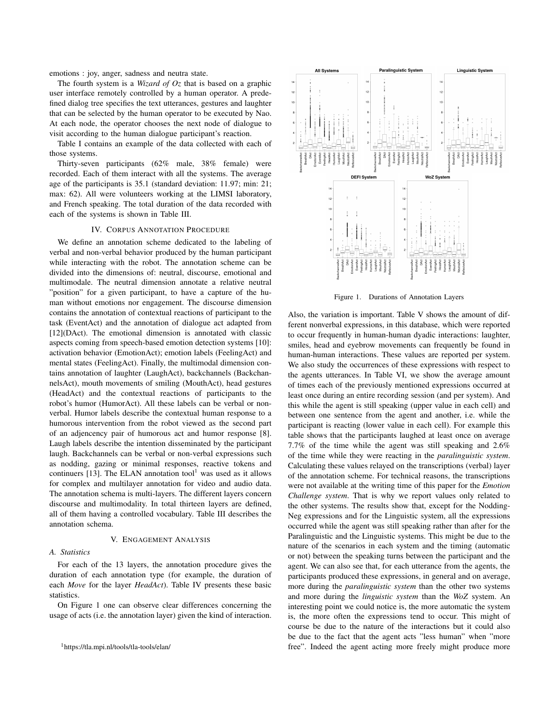emotions : joy, anger, sadness and neutra state.

The fourth system is a *Wizard of Oz* that is based on a graphic user interface remotely controlled by a human operator. A predefined dialog tree specifies the text utterances, gestures and laughter that can be selected by the human operator to be executed by Nao. At each node, the operator chooses the next node of dialogue to visit according to the human dialogue participant's reaction.

Table I contains an example of the data collected with each of those systems.

Thirty-seven participants (62% male, 38% female) were recorded. Each of them interact with all the systems. The average age of the participants is 35.1 (standard deviation: 11.97; min: 21; max: 62). All were volunteers working at the LIMSI laboratory, and French speaking. The total duration of the data recorded with each of the systems is shown in Table III.

## IV. CORPUS ANNOTATION PROCEDURE

We define an annotation scheme dedicated to the labeling of verbal and non-verbal behavior produced by the human participant while interacting with the robot. The annotation scheme can be divided into the dimensions of: neutral, discourse, emotional and multimodale. The neutral dimension annotate a relative neutral "position" for a given participant, to have a capture of the human without emotions nor engagement. The discourse dimension contains the annotation of contextual reactions of participant to the task (EventAct) and the annotation of dialogue act adapted from [12](DAct). The emotional dimension is annotated with classic aspects coming from speech-based emotion detection systems [10]: activation behavior (EmotionAct); emotion labels (FeelingAct) and mental states (FeelingAct). Finally, the multimodal dimension contains annotation of laughter (LaughAct), backchannels (BackchannelsAct), mouth movements of smiling (MouthAct), head gestures (HeadAct) and the contextual reactions of participants to the robot's humor (HumorAct). All these labels can be verbal or nonverbal. Humor labels describe the contextual human response to a humorous intervention from the robot viewed as the second part of an adjencency pair of humorous act and humor response [8]. Laugh labels describe the intention disseminated by the participant laugh. Backchannels can be verbal or non-verbal expressions such as nodding, gazing or minimal responses, reactive tokens and continuers [13]. The ELAN annotation tool<sup>1</sup> was used as it allows for complex and multilayer annotation for video and audio data. The annotation schema is multi-layers. The different layers concern discourse and multimodality. In total thirteen layers are defined, all of them having a controlled vocabulary. Table III describes the annotation schema.

#### V. ENGAGEMENT ANALYSIS

# *A. Statistics*

For each of the 13 layers, the annotation procedure gives the duration of each annotation type (for example, the duration of each *Move* for the layer *HeadAct*). Table IV presents these basic statistics.

On Figure 1 one can observe clear differences concerning the usage of acts (i.e. the annotation layer) given the kind of interaction.



Figure 1. Durations of Annotation Layers

Also, the variation is important. Table V shows the amount of different nonverbal expressions, in this database, which were reported to occur frequently in human-human dyadic interactions: laughter, smiles, head and eyebrow movements can frequently be found in human-human interactions. These values are reported per system. We also study the occurrences of these expressions with respect to the agents utterances. In Table VI, we show the average amount of times each of the previously mentioned expressions occurred at least once during an entire recording session (and per system). And this while the agent is still speaking (upper value in each cell) and between one sentence from the agent and another, i.e. while the participant is reacting (lower value in each cell). For example this table shows that the participants laughed at least once on average 7.7% of the time while the agent was still speaking and 2.6% of the time while they were reacting in the *paralinguistic system*. Calculating these values relayed on the transcriptions (verbal) layer of the annotation scheme. For technical reasons, the transcriptions were not available at the writing time of this paper for the *Emotion Challenge system*. That is why we report values only related to the other systems. The results show that, except for the Nodding-Neg expressions and for the Linguistic system, all the expressions occurred while the agent was still speaking rather than after for the Paralinguistic and the Linguistic systems. This might be due to the nature of the scenarios in each system and the timing (automatic or not) between the speaking turns between the participant and the agent. We can also see that, for each utterance from the agents, the participants produced these expressions, in general and on average, more during the *paralinguistic system* than the other two systems and more during the *linguistic system* than the *WoZ* system. An interesting point we could notice is, the more automatic the system is, the more often the expressions tend to occur. This might of course be due to the nature of the interactions but it could also be due to the fact that the agent acts "less human" when "more free". Indeed the agent acting more freely might produce more

<sup>1</sup>https://tla.mpi.nl/tools/tla-tools/elan/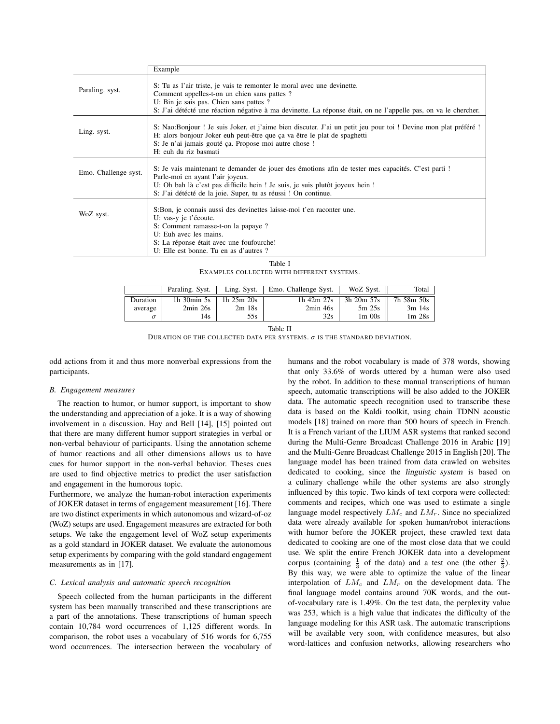|                      | Example                                                                                                                                                                                                                                                                                    |
|----------------------|--------------------------------------------------------------------------------------------------------------------------------------------------------------------------------------------------------------------------------------------------------------------------------------------|
| Paraling. syst.      | S: Tu as l'air triste, je vais te remonter le moral avec une devinette.<br>Comment appelles-t-on un chien sans pattes?<br>U: Bin je sais pas. Chien sans pattes?<br>S: J'ai détécté une réaction négative à ma devinette. La réponse était, on ne l'appelle pas, on va le chercher.        |
| Ling. syst.          | S: Nao:Bonjour ! Je suis Joker, et j'aime bien discuter. J'ai un petit jeu pour toi ! Devine mon plat préféré !<br>H: alors bonjour Joker euh peut-être que ça va être le plat de spaghetti<br>S: Je n'ai jamais gouté ça. Propose moi autre chose !<br>H: euh du riz basmati              |
| Emo. Challenge syst. | S: Je vais maintenant te demander de jouer des émotions afin de tester mes capacités. C'est parti !<br>Parle-moi en ayant l'air joyeux.<br>U: Oh bah là c'est pas difficile hein ! Je suis, je suis plutôt joyeux hein !<br>S: J'ai détécté de la joie. Super, tu as réussi ! On continue. |
| WoZ syst.            | S:Bon, je connais aussi des devinettes laisse-moi t'en raconter une.<br>U: vas-y je t'écoute.<br>S: Comment ramasse-t-on la papaye ?<br>U: Euh avec les mains.<br>S: La réponse était avec une foufourche!<br>U: Elle est bonne. Tu en as d'autres ?                                       |
|                      |                                                                                                                                                                                                                                                                                            |

Table I EXAMPLES COLLECTED WITH DIFFERENT SYSTEMS.

|          | Paraling. Syst.  | Ling. Syst.      | Emo. Challenge Syst. | WoZ Syst.  | Total                          |
|----------|------------------|------------------|----------------------|------------|--------------------------------|
| Duration | $1h$ 30 $min$ 5s | $1h$ $25m$ $20s$ | 1h 42m 27s           | 3h 20m 57s | 7h 58m 50s                     |
| average  | $2min\ 26s$      | 2m 18s           | $2min$ 46s           | 5m25s      | $3m$ 14s                       |
|          | 14s              | 55s              | 32s                  | $1m$ 00s   | 1 <sub>m</sub> 28 <sub>s</sub> |

Table II

DURATION OF THE COLLECTED DATA PER SYSTEMS.  $\sigma$  is the standard deviation.

odd actions from it and thus more nonverbal expressions from the participants.

### *B. Engagement measures*

The reaction to humor, or humor support, is important to show the understanding and appreciation of a joke. It is a way of showing involvement in a discussion. Hay and Bell [14], [15] pointed out that there are many different humor support strategies in verbal or non-verbal behaviour of participants. Using the annotation scheme of humor reactions and all other dimensions allows us to have cues for humor support in the non-verbal behavior. Theses cues are used to find objective metrics to predict the user satisfaction and engagement in the humorous topic.

Furthermore, we analyze the human-robot interaction experiments of JOKER dataset in terms of engagement measurement [16]. There are two distinct experiments in which autonomous and wizard-of-oz (WoZ) setups are used. Engagement measures are extracted for both setups. We take the engagement level of WoZ setup experiments as a gold standard in JOKER dataset. We evaluate the autonomous setup experiments by comparing with the gold standard engagement measurements as in [17].

### *C. Lexical analysis and automatic speech recognition*

Speech collected from the human participants in the different system has been manually transcribed and these transcriptions are a part of the annotations. These transcriptions of human speech contain 10,784 word occurrences of 1,125 different words. In comparison, the robot uses a vocabulary of 516 words for 6,755 word occurrences. The intersection between the vocabulary of humans and the robot vocabulary is made of 378 words, showing that only 33.6% of words uttered by a human were also used by the robot. In addition to these manual transcriptions of human speech, automatic transcriptions will be also added to the JOKER data. The automatic speech recognition used to transcribe these data is based on the Kaldi toolkit, using chain TDNN acoustic models [18] trained on more than 500 hours of speech in French. It is a French variant of the LIUM ASR systems that ranked second during the Multi-Genre Broadcast Challenge 2016 in Arabic [19] and the Multi-Genre Broadcast Challenge 2015 in English [20]. The language model has been trained from data crawled on websites dedicated to cooking, since the linguistic system is based on a culinary challenge while the other systems are also strongly influenced by this topic. Two kinds of text corpora were collected: comments and recipes, which one was used to estimate a single language model respectively  $LM_c$  and  $LM_r$ . Since no specialized data were already available for spoken human/robot interactions with humor before the JOKER project, these crawled text data dedicated to cooking are one of the most close data that we could use. We split the entire French JOKER data into a development corpus (containing  $\frac{1}{3}$  of the data) and a test one (the other  $\frac{2}{3}$ ). By this way, we were able to optimize the value of the linear interpolation of  $LM_c$  and  $LM_r$  on the development data. The final language model contains around 70K words, and the outof-vocabulary rate is 1.49%. On the test data, the perplexity value was 253, which is a high value that indicates the difficulty of the language modeling for this ASR task. The automatic transcriptions will be available very soon, with confidence measures, but also word-lattices and confusion networks, allowing researchers who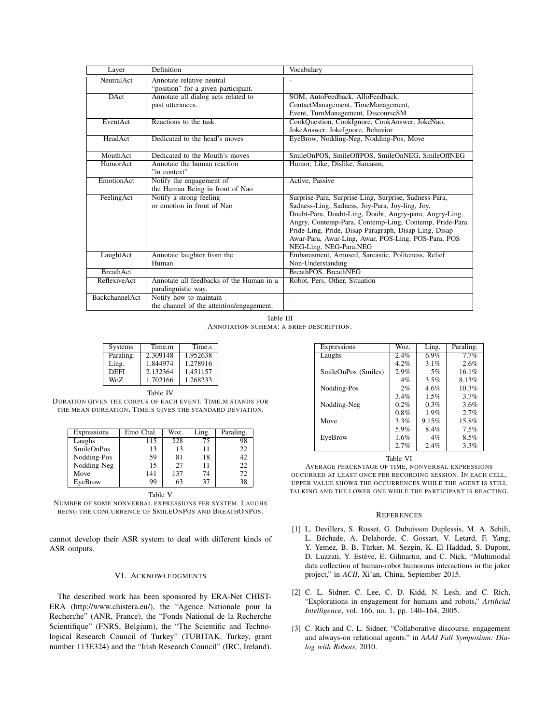| Layer                 | Definition                               | Vocabulary                                             |
|-----------------------|------------------------------------------|--------------------------------------------------------|
| <b>NeutralAct</b>     | Annotate relative neutral                |                                                        |
|                       | "position" for a given participant.      |                                                        |
| <b>DAct</b>           | Annotate all dialog acts related to      | SOM, AutoFeedback, AlloFeedback,                       |
|                       | past utterances.                         | ContactManagement, TimeManagement,                     |
|                       |                                          | Event, TurnManagement, DiscourseSM                     |
| EventAct              | Reactions to the task.                   | CookQuestion, CookIgnore, CookAnswer, JokeNao,         |
|                       |                                          | JokeAnswer, JokeIgnore, Behavior                       |
| HeadAct               | Dedicated to the head's moves            | EyeBrow, Nodding-Neg, Nodding-Pos, Move                |
|                       |                                          |                                                        |
| MouthAct              | Dedicated to the Mouth's moves           | SmileOnPOS, SmileOffPOS, SmileOnNEG, SmileOffNEG       |
| <b>HumorAct</b>       | Annotate the human reaction              | Humor, Like, Dislike, Sarcasm,                         |
|                       | "in context"                             |                                                        |
| EmotionAct            | Notify the engagement of                 | Active, Passive                                        |
|                       | the Human Being in front of Nao          |                                                        |
| FeelingAct            | Notify a strong feeling                  | Surprise-Para, Surprise-Ling, Surprise, Sadness-Para,  |
|                       | or emotion in front of Nao               | Sadness-Ling, Sadness, Joy-Para, Joy-ling, Joy,        |
|                       |                                          | Doubt-Para, Doubt-Ling, Doubt, Angry-para, Angry-Ling, |
|                       |                                          | Angry, Contemp-Para, Contemp-Ling, Contemp, Pride-Para |
|                       |                                          | Pride-Ling, Pride, Disap-Paragraph, Disap-Ling, Disap  |
|                       |                                          | Awar-Para, Awar-Ling, Awar, POS-Ling, POS-Para, POS    |
|                       |                                          | NEG-Ling, NEG-Para, NEG                                |
| LaughtAct             | Annotate laughter from the               | Embarasment, Amused, Sarcastic, Politeness, Relief     |
|                       | Human                                    | Non-Understanding                                      |
| <b>BreathAct</b>      |                                          | BreathPOS, BreathNEG                                   |
| ReflexiveAct          | Annotate all feedbacks of the Human in a | Robot, Pers, Other, Situation                          |
|                       | paralinguistic way.                      |                                                        |
| <b>BackchannelAct</b> | Notify how to maintain                   |                                                        |
|                       | the channel of the attention/engagement. |                                                        |

| Table III                               |
|-----------------------------------------|
| ANNOTATION SCHEMA: A BRIEF DESCRIPTION. |

| <b>Systems</b> | Time.m   | Time.s   |
|----------------|----------|----------|
| Paraling.      | 2.309148 | 1.952638 |
| Ling.          | 1.844974 | 1.278916 |
| <b>DEFI</b>    | 2.132364 | 1.451157 |
| WoZ.           | 1.702166 | 1.268233 |

Table IV

DURATION GIVEN THE CORPUS OF EACH EVENT. TIME.M STANDS FOR THE MEAN DUREATION, TIME.S GIVES THE STANDARD DEVIATION.

| Expressions       | Emo Chal. | Woz. | Ling. | Paraling. |
|-------------------|-----------|------|-------|-----------|
| Laughs            | 115       | 228  | 75    | 98        |
| <b>SmileOnPos</b> | 13        | 13   | 11    | 22        |
| Nodding-Pos       | 59        | 81   | 18    | 42        |
| Nodding-Neg       | 15        | 27   | 11    | 22        |
| Move              | 141       | 137  | 74    | 72        |
| EyeBrow           | 99        | 63   | 37    | 38        |

Table V

NUMBER OF SOME NONVERBAL EXPRESSIONS PER SYSTEM. LAUGHS BEING THE CONCURRENCE OF SMILEONPOS AND BREATHONPOS.

cannot develop their ASR system to deal with different kinds of ASR outputs.

### VI. ACKNOWLEDGMENTS

The described work has been sponsored by ERA-Net CHIST-ERA (http://www.chistera.eu/), the "Agence Nationale pour la Recherche" (ANR, France), the "Fonds National de la Recherche Scientifique" (FNRS, Belgium), the "The Scientific and Technological Research Council of Turkey" (TUBITAK, Turkey, grant number 113E324) and the "Irish Research Council" (IRC, Ireland).

| Expressions         | Woz. | Ling. | Paraling. |
|---------------------|------|-------|-----------|
| Laughs              | 2.4% | 6.9%  | 7.7%      |
|                     | 4.2% | 3.1%  | 2.6%      |
| SmileOnPos (Smiles) | 2.9% | 5%    | 16.1%     |
|                     | 4%   | 3.5%  | 8.13%     |
| Nodding-Pos         | 2%   | 4.6%  | 10.3%     |
|                     | 3.4% | 1.5%  | 3.7%      |
| Nodding-Neg         | 0.2% | 0.3%  | 3.6%      |
|                     | 0.8% | 1.9%  | 2.7%      |
| Move                | 3.3% | 9.15% | 15.8%     |
|                     | 5.9% | 8.4%  | 7.5%      |
| EyeBrow             | 1.6% | 4%    | 8.5%      |
|                     | 2.7% | 2.4%  | 3.3%      |

### Table VI

AVERAGE PERCENTAGE OF TIME, NONVERBAL EXPRESSIONS OCCURRED AT LEAST ONCE PER RECORDING SESSION. IN EACH CELL, UPPER VALUE SHOWS THE OCCURRENCES WHILE THE AGENT IS STILL TALKING AND THE LOWER ONE WHILE THE PARTICIPANT IS REACTING.

### **REFERENCES**

- [1] L. Devillers, S. Rosset, G. Dubuisson Duplessis, M. A. Sehili, L. Béchade, A. Delaborde, C. Gossart, V. Letard, F. Yang, Y. Yemez, B. B. Türker, M. Sezgin, K. El Haddad, S. Dupont, D. Luzzati, Y. Estève, E. Gilmartin, and C. Nick, "Multimodal data collection of human-robot humorous interactions in the joker project," in *ACII*, Xi'an, China, September 2015.
- [2] C. L. Sidner, C. Lee, C. D. Kidd, N. Lesh, and C. Rich, "Explorations in engagement for humans and robots," *Artificial Intelligence*, vol. 166, no. 1, pp. 140–164, 2005.
- [3] C. Rich and C. L. Sidner, "Collaborative discourse, engagement and always-on relational agents." in *AAAI Fall Symposium: Dialog with Robots*, 2010.